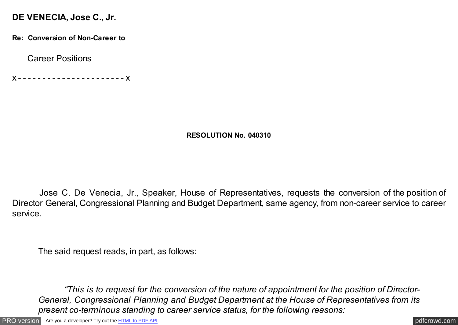## **DE VENECIA, Jose C., Jr.**

**Re: Conversion of Non-Career to**

Career Positions

x - - - - - - - - - - - - - - - - - - - - - - x

## **RESOLUTION No. 040310**

Jose C. De Venecia, Jr., Speaker, House of Representatives, requests the conversion of the position of Director General, Congressional Planning and Budget Department, same agency, from non-career service to career service.

The said request reads, in part, as follows:

 *"This is to request for the conversion of the nature of appointment for the position of Director-General, Congressional Planning and Budget Department at the House of Representatives from its present co-terminous standing to career service status, for the following reasons:*

[PRO version](http://pdfcrowd.com/customize/) Are you a developer? Try out th[e HTML to PDF API](http://pdfcrowd.com/html-to-pdf-api/?ref=pdf) process and the example of the HTML to PDF API [pdfcrowd.com](http://pdfcrowd.com)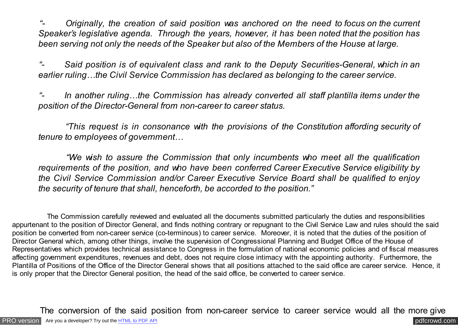*Driginally, the creation of said position was anchored on the need to focus on the current Speaker's legislative agenda. Through the years, however, it has been noted that the position has been serving not only the needs of the Speaker but also of the Members of the House at large.*

 *"- Said position is of equivalent class and rank to the Deputy Securities-General, which in an earlier ruling…the Civil Service Commission has declared as belonging to the career service.*

 *"- In another ruling…the Commission has already converted all staff plantilla items under the position of the Director-General from non-career to career status.*

 *"This request is in consonance with the provisions of the Constitution affording security of tenure to employees of government…*

 *"We wish to assure the Commission that only incumbents who meet all the qualification requirements of the position, and who have been conferred Career Executive Service eligibility by the Civil Service Commission and/or Career Executive Service Board shall be qualified to enjoy the security of tenure that shall, henceforth, be accorded to the position."*

 The Commission carefully reviewed and evaluated all the documents submitted particularly the duties and responsibilities appurtenant to the position of Director General, and finds nothing contrary or repugnant to the Civil Service Law and rules should the said position be converted from non-career service (co-terminous) to career service. Moreover, it is noted that the duties of the position of Director General which, among other things, involve the supervision of Congressional Planning and Budget Office of the House of Representatives which provides technical assistance to Congress in the formulation of national economic policies and of fiscal measures affecting government expenditures, revenues and debt, does not require close intimacy with the appointing authority. Furthermore, the Plantilla of Positions of the Office of the Director General shows that all positions attached to the said office are career service. Hence, it is only proper that the Director General position, the head of the said office, be converted to career service.

[PRO version](http://pdfcrowd.com/customize/) Are you a developer? Try out th[e HTML to PDF API](http://pdfcrowd.com/html-to-pdf-api/?ref=pdf) compared to the comparison of the HTML to PDF API The conversion of the said position from non-career service to career service would all the more give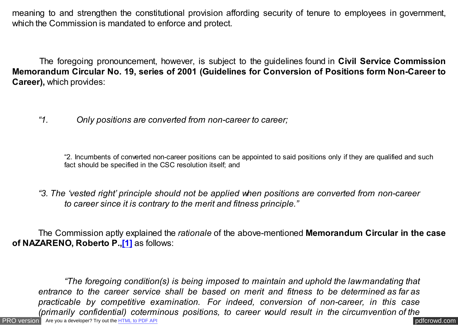<span id="page-2-0"></span>meaning to and strengthen the constitutional provision affording security of tenure to employees in government, which the Commission is mandated to enforce and protect.

 The foregoing pronouncement, however, is subject to the guidelines found in **Civil Service Commission Memorandum Circular No. 19, series of 2001 (Guidelines for Conversion of Positions form Non-Career to Career),** which provides:

*"1. Only positions are converted from non-career to career;*

"2. Incumbents of converted non-career positions can be appointed to said positions only if they are qualified and such fact should be specified in the CSC resolution itself; and

*"3. The 'vested right' principle should not be applied when positions are converted from non-career to career since it is contrary to the merit and fitness principle."*

 The Commission aptly explained the *rationale* of the above-mentioned **Memorandum Circular in the case of NAZARENO, Roberto P.[,\[1\]](#page-3-0)** as follows:

[PRO version](http://pdfcrowd.com/customize/) Are you a developer? Try out th[e HTML to PDF API](http://pdfcrowd.com/html-to-pdf-api/?ref=pdf) contract the contract of the HTML to PDF API [pdfcrowd.com](http://pdfcrowd.com) *"The foregoing condition(s) is being imposed to maintain and uphold the law mandating that entrance to the career service shall be based on merit and fitness to be determined as far as practicable by competitive examination. For indeed, conversion of non-career, in this case (primarily confidential) coterminous positions, to career would result in the circumvention of the*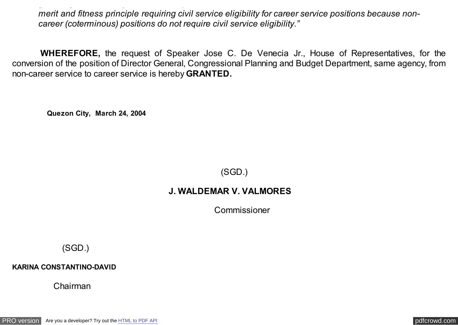<span id="page-3-0"></span>*merit and fitness principle requiring civil service eligibility for career service positions because noncareer (coterminous) positions do not require civil service eligibility."*

*(primarily confidential) coterminous positions, to career would result in the circumvention of the*

 **WHEREFORE,** the request of Speaker Jose C. De Venecia Jr., House of Representatives, for the conversion of the position of Director General, Congressional Planning and Budget Department, same agency, from non-career service to career service is hereby **GRANTED.**

 **Quezon City, March 24, 2004**

(SGD.)

## **J. WALDEMAR V. VALMORES**

Commissioner

(SGD.)

**KARINA CONSTANTINO-DAVID**

Chairman